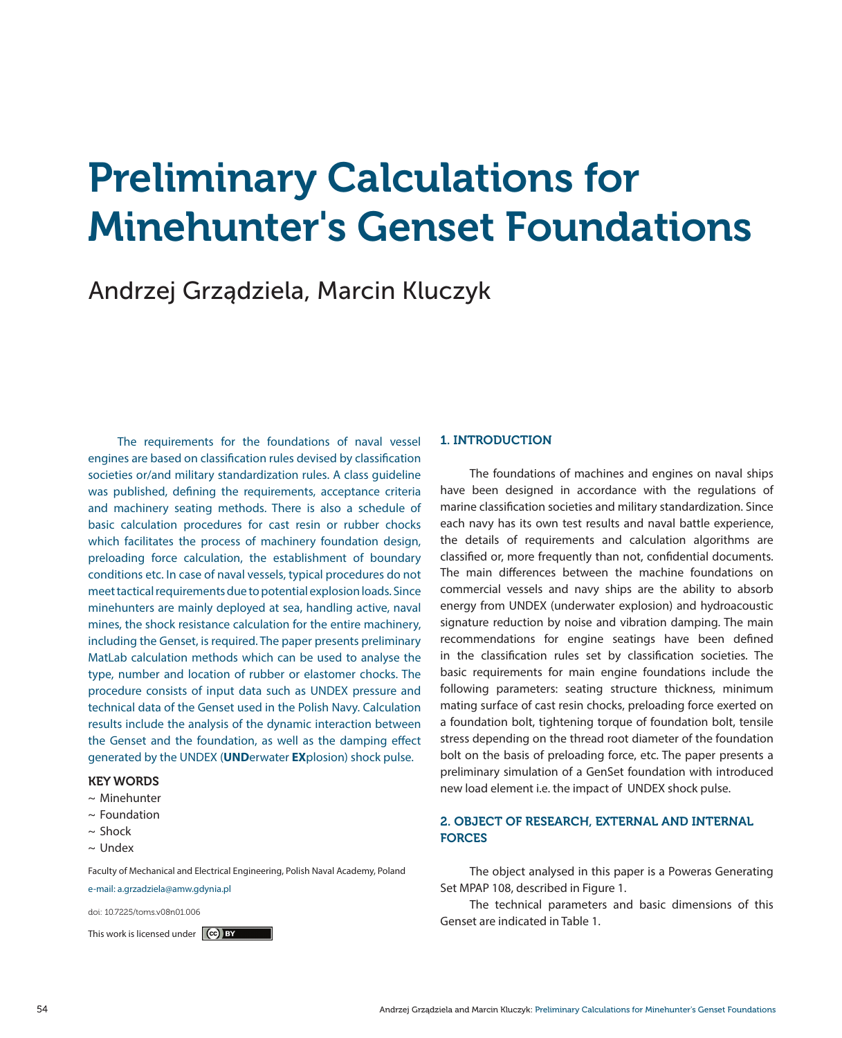# Preliminary Calculations for Minehunter's Genset Foundations

# Andrzej Grządziela, Marcin Kluczyk

The requirements for the foundations of naval vessel engines are based on classification rules devised by classification societies or/and military standardization rules. A class guideline was published, defining the requirements, acceptance criteria and machinery seating methods. There is also a schedule of basic calculation procedures for cast resin or rubber chocks which facilitates the process of machinery foundation design, preloading force calculation, the establishment of boundary conditions etc. In case of naval vessels, typical procedures do not meet tactical requirements due to potential explosion loads. Since minehunters are mainly deployed at sea, handling active, naval mines, the shock resistance calculation for the entire machinery, including the Genset, is required. The paper presents preliminary MatLab calculation methods which can be used to analyse the type, number and location of rubber or elastomer chocks. The procedure consists of input data such as UNDEX pressure and technical data of the Genset used in the Polish Navy. Calculation results include the analysis of the dynamic interaction between the Genset and the foundation, as well as the damping effect generated by the UNDEX (**UND**erwater **EX**plosion) shock pulse.

# KEY WORDS

- ~ Minehunter
- $\sim$  Foundation
- $\sim$  Shock
- ~ Undex

Faculty of Mechanical and Electrical Engineering, Polish Naval Academy, Poland e-mail: a.grzadziela@amw.gdynia.pl

doi: 10.7225/toms.v08n01.006

This work is licensed under  $(c)$  BY

### 1. INTRODUCTION

The foundations of machines and engines on naval ships have been designed in accordance with the regulations of marine classification societies and military standardization. Since each navy has its own test results and naval battle experience, the details of requirements and calculation algorithms are classified or, more frequently than not, confidential documents. The main differences between the machine foundations on commercial vessels and navy ships are the ability to absorb energy from UNDEX (underwater explosion) and hydroacoustic signature reduction by noise and vibration damping. The main recommendations for engine seatings have been defined in the classification rules set by classification societies. The basic requirements for main engine foundations include the following parameters: seating structure thickness, minimum mating surface of cast resin chocks, preloading force exerted on a foundation bolt, tightening torque of foundation bolt, tensile stress depending on the thread root diameter of the foundation bolt on the basis of preloading force, etc. The paper presents a preliminary simulation of a GenSet foundation with introduced new load element i.e. the impact of UNDEX shock pulse.

# 2. OBJECT OF RESEARCH, EXTERNAL AND INTERNAL **FORCES**

The object analysed in this paper is a Poweras Generating Set MPAP 108, described in Figure 1.

The technical parameters and basic dimensions of this Genset are indicated in Table 1.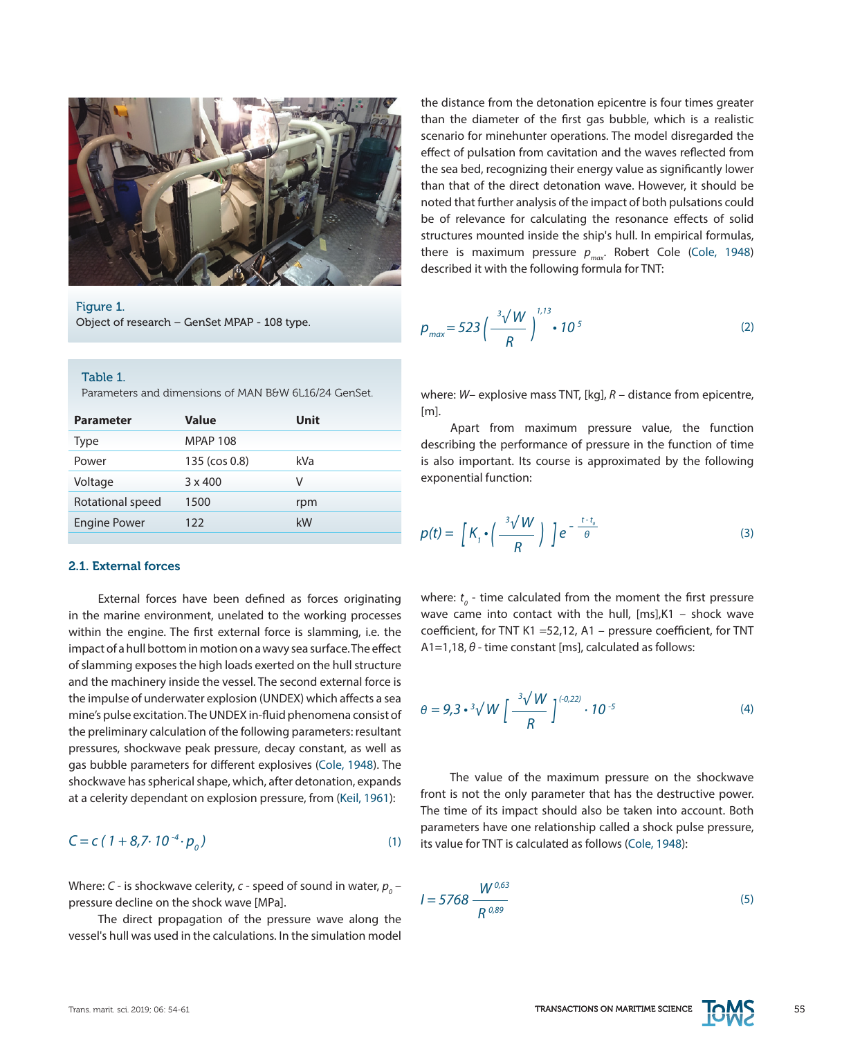

Figure 1. Object of research – GenSet MPAP - 108 type.

#### Table 1.

Parameters and dimensions of MAN B&W 6L16/24 GenSet.

| <b>Parameter</b>    | Value           | <b>Unit</b> |
|---------------------|-----------------|-------------|
| Type                | <b>MPAP 108</b> |             |
| Power               | 135 (cos 0.8)   | kVa         |
| Voltage             | $3 \times 400$  | v           |
| Rotational speed    | 1500            | rpm         |
| <b>Engine Power</b> | 122             | kW          |
|                     |                 |             |

# 2.1. External forces

External forces have been defined as forces originating in the marine environment, unelated to the working processes within the engine. The first external force is slamming, i.e. the impact of a hull bottom in motion on a wavy sea surface. The effect of slamming exposes the high loads exerted on the hull structure and the machinery inside the vessel. The second external force is the impulse of underwater explosion (UNDEX) which affects a sea mine's pulse excitation. The UNDEX in-fluid phenomena consist of the preliminary calculation of the following parameters: resultant pressures, shockwave peak pressure, decay constant, as well as gas bubble parameters for different explosives (Cole, 1948). The shockwave has spherical shape, which, after detonation, expands at a celerity dependant on explosion pressure, from (Keil, 1961):

$$
C = c (1 + 8,7.10^{-4} \cdot p_0)
$$
 (1)

Where: *C* - is shockwave celerity, *c* - speed of sound in water,  $p_{_0}$ pressure decline on the shock wave [MPa].

The direct propagation of the pressure wave along the vessel's hull was used in the calculations. In the simulation model the distance from the detonation epicentre is four times greater than the diameter of the first gas bubble, which is a realistic scenario for minehunter operations. The model disregarded the effect of pulsation from cavitation and the waves reflected from the sea bed, recognizing their energy value as significantly lower than that of the direct detonation wave. However, it should be noted that further analysis of the impact of both pulsations could be of relevance for calculating the resonance effects of solid structures mounted inside the ship's hull. In empirical formulas, there is maximum pressure  $p_{max}$ . Robert Cole (Cole, 1948) described it with the following formula for TNT:

$$
p_{\text{max}} = 523 \left( \frac{^{3}\sqrt{W}}{R} \right)^{1/3} \cdot 10^{5} \tag{2}
$$

where: *W*– explosive mass TNT, [kg], *R* – distance from epicentre,  $[ml]$ 

Apart from maximum pressure value, the function describing the performance of pressure in the function of time is also important. Its course is approximated by the following exponential function:

$$
p(t) = \left[K_{1} \cdot \left(\frac{\sqrt[3]{W}}{R}\right)\right] e^{-\frac{t-t_{0}}{\theta}}
$$
\n(3)

where:  $t_{\textit{o}}$  - time calculated from the moment the first pressure wave came into contact with the hull, [ms],K1 – shock wave coefficient, for TNT K1 =52,12, A1 – pressure coefficient, for TNT A1=1,18, *θ* - time constant [ms], calculated as follows:

$$
\theta = 9.3 \cdot {}^{3}\sqrt{W} \left[ \frac{{}^{3}\sqrt{W}}{{}^{8}} \right]^{(.0,22)} \cdot 10^{-5}
$$
 (4)

The value of the maximum pressure on the shockwave front is not the only parameter that has the destructive power. The time of its impact should also be taken into account. Both parameters have one relationship called a shock pulse pressure, its value for TNT is calculated as follows (Cole, 1948):

$$
I = 5768 \frac{W^{0,63}}{R^{0,89}}
$$
 (5)

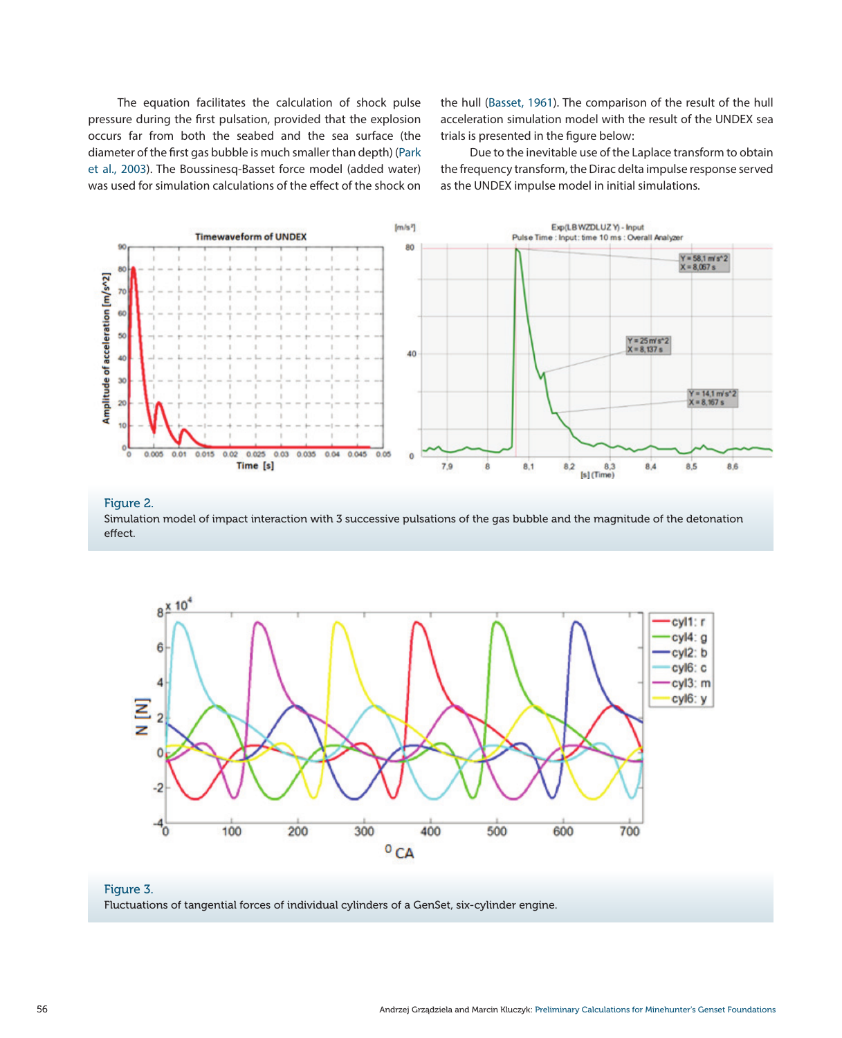The equation facilitates the calculation of shock pulse pressure during the first pulsation, provided that the explosion occurs far from both the seabed and the sea surface (the diameter of the first gas bubble is much smaller than depth) (Park et al., 2003). The Boussinesq-Basset force model (added water) was used for simulation calculations of the effect of the shock on

the hull (Basset, 1961). The comparison of the result of the hull acceleration simulation model with the result of the UNDEX sea trials is presented in the figure below:

Due to the inevitable use of the Laplace transform to obtain the frequency transform, the Dirac delta impulse response served as the UNDEX impulse model in initial simulations.



Figure 2. Simulation model of impact interaction with 3 successive pulsations of the gas bubble and the magnitude of the detonation effect.



#### Figure 3.

Fluctuations of tangential forces of individual cylinders of a GenSet, six-cylinder engine.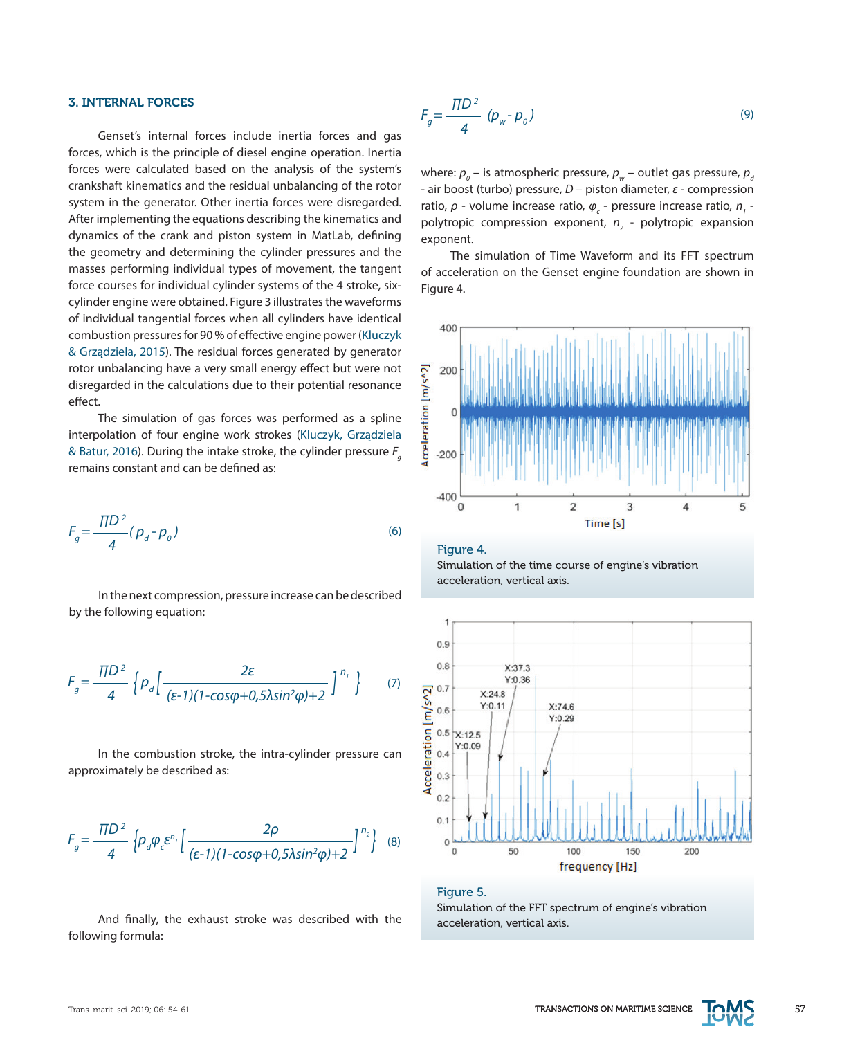#### 3. INTERNAL FORCES

Genset's internal forces include inertia forces and gas forces, which is the principle of diesel engine operation. Inertia forces were calculated based on the analysis of the system's crankshaft kinematics and the residual unbalancing of the rotor system in the generator. Other inertia forces were disregarded. After implementing the equations describing the kinematics and dynamics of the crank and piston system in MatLab, defining the geometry and determining the cylinder pressures and the masses performing individual types of movement, the tangent force courses for individual cylinder systems of the 4 stroke, sixcylinder engine were obtained. Figure 3 illustrates the waveforms of individual tangential forces when all cylinders have identical combustion pressures for 90 % of effective engine power (Kluczyk & Grządziela, 2015). The residual forces generated by generator rotor unbalancing have a very small energy effect but were not disregarded in the calculations due to their potential resonance effect.

The simulation of gas forces was performed as a spline interpolation of four engine work strokes (Kluczyk, Grządziela & Batur, 2016). During the intake stroke, the cylinder pressure F<sub>g</sub> remains constant and can be defined as:

$$
F_g = \frac{\pi D^2}{4} (p_d - p_o)
$$
 (6)

In the next compression, pressure increase can be described by the following equation:

$$
F_g = \frac{\Pi D^2}{4} \left\{ p_d \left[ \frac{2\varepsilon}{(\varepsilon - 1)(1 - \cos\varphi + 0.5\lambda \sin^2\varphi) + 2} \right]^{n_i} \right\}
$$
 (7)

In the combustion stroke, the intra-cylinder pressure can approximately be described as:

$$
F_g = \frac{\Pi D^2}{4} \left\{ p_d \varphi_c \varepsilon^{n_1} \left[ \frac{2\rho}{(\varepsilon - 1)(1 - \cos\varphi + 0.5\lambda \sin^2\varphi) + 2} \right]^{n_2} \right\} \tag{8}
$$

And finally, the exhaust stroke was described with the following formula:

$$
F_g = \frac{\Pi D^2}{4} \left( p_w - p_o \right) \tag{9}
$$

where:  $p_{_{0}}$  – is atmospheric pressure,  $p_{_{\mathrm{w}}}$  – outlet gas pressure,  $p_{_{\mathrm{d}}}$ - air boost (turbo) pressure, *D* – piston diameter, *ε* - compression ratio, *ρ* - volume increase ratio,  $\varphi_c$  - pressure increase ratio, *n*<sub>1</sub> polytropic compression exponent,  $n<sub>2</sub>$  - polytropic expansion exponent.

The simulation of Time Waveform and its FFT spectrum of acceleration on the Genset engine foundation are shown in Figure 4.



#### Figure 4.

Simulation of the time course of engine's vibration acceleration, vertical axis.



# Figure 5.

Simulation of the FFT spectrum of engine's vibration acceleration, vertical axis.

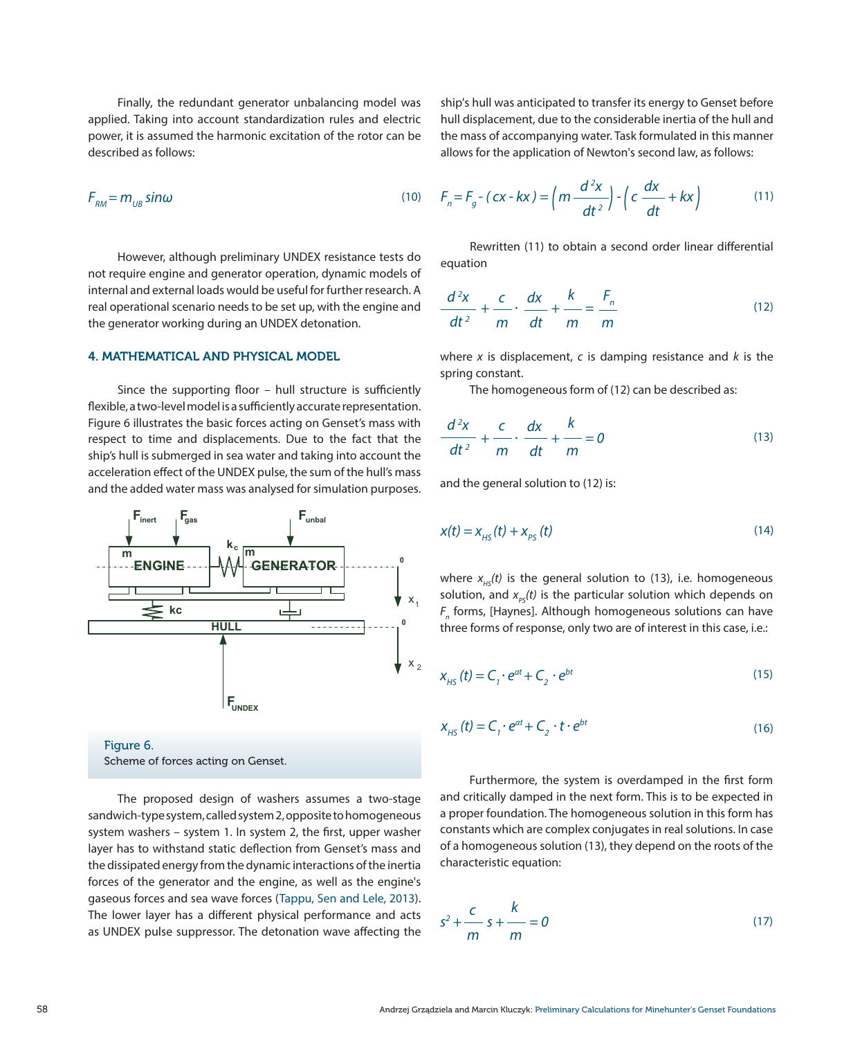Finally, the redundant generator unbalancing model was applied. Taking into account standardization rules and electric power, it is assumed the harmonic excitation of the rotor can be described as follows:

$$
F_{\rm RM} = m_{\rm UB} \sin \omega \tag{10}
$$

However, although preliminary UNDEX resistance tests do not require engine and generator operation, dynamic models of internal and external loads would be useful for further research. A real operational scenario needs to be set up, with the engine and the generator working during an UNDEX detonation.

#### 4. MATHEMATICAL AND PHYSICAL MODEL

Since the supporting floor – hull structure is sufficiently flexible, a two-level model is a sufficiently accurate representation. Figure 6 illustrates the basic forces acting on Genset's mass with respect to time and displacements. Due to the fact that the ship's hull is submerged in sea water and taking into account the acceleration effect of the UNDEX pulse, the sum of the hull's mass and the added water mass was analysed for simulation purposes.



Figure 6. Scheme of forces acting on Genset.

The proposed design of washers assumes a two-stage sandwich-type system, called system 2, opposite to homogeneous system washers – system 1. In system 2, the first, upper washer layer has to withstand static deflection from Genset's mass and the dissipated energy from the dynamic interactions of the inertia forces of the generator and the engine, as well as the engine's gaseous forces and sea wave forces (Tappu, Sen and Lele, 2013). The lower layer has a different physical performance and acts as UNDEX pulse suppressor. The detonation wave affecting the

ship's hull was anticipated to transfer its energy to Genset before hull displacement, due to the considerable inertia of the hull and the mass of accompanying water. Task formulated in this manner allows for the application of Newton's second law, as follows:

$$
F_{RM} = m_{UB} \sin \omega \qquad (10) \qquad F_n = F_g - (cx - kx) = \left( m \frac{d^2 x}{dt^2} \right) - \left( c \frac{dx}{dt} + kx \right) \qquad (11)
$$

Rewritten (11) to obtain a second order linear differential equation

$$
\frac{d^2x}{dt^2} + \frac{c}{m} \cdot \frac{dx}{dt} + \frac{k}{m} = \frac{F_n}{m}
$$
 (12)

where *x* is displacement, *c* is damping resistance and *k* is the spring constant.

The homogeneous form of (12) can be described as:

$$
\frac{d^2x}{dt^2} + \frac{c}{m} \cdot \frac{dx}{dt} + \frac{k}{m} = 0
$$
 (13)

and the general solution to (12) is:

$$
x(t) = x_{H_S}(t) + x_{\rho_S}(t)
$$
\n(14)

where  $x_{\mu s}(t)$  is the general solution to (13), i.e. homogeneous solution, and  $x_{ps}(t)$  is the particular solution which depends on *Fn* forms, [Haynes]. Although homogeneous solutions can have three forms of response, only two are of interest in this case, i.e.:

$$
X_{HS}(t) = C_i \cdot e^{at} + C_2 \cdot e^{bt}
$$
 (15)

$$
X_{H_S}(t) = C_i \cdot e^{at} + C_2 \cdot t \cdot e^{bt}
$$
 (16)

Furthermore, the system is overdamped in the first form and critically damped in the next form. This is to be expected in a proper foundation. The homogeneous solution in this form has constants which are complex conjugates in real solutions. In case of a homogeneous solution (13), they depend on the roots of the characteristic equation:

$$
s^2 + \frac{c}{m} s + \frac{k}{m} = 0 \tag{17}
$$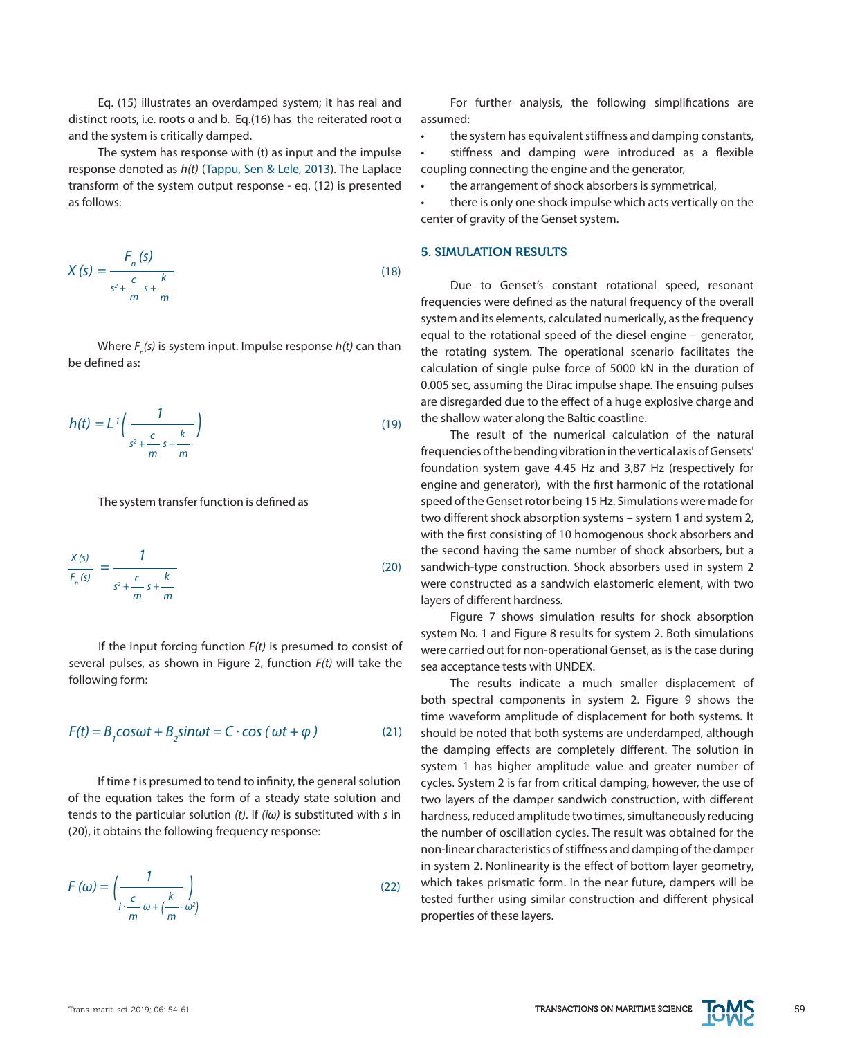Eq. (15) illustrates an overdamped system; it has real and distinct roots, i.e. roots α and b. Eq.(16) has the reiterated root α and the system is critically damped.

The system has response with (t) as input and the impulse response denoted as *h(t)* (Tappu, Sen & Lele, 2013). The Laplace transform of the system output response - eq. (12) is presented as follows:

$$
X(s) = \frac{F_n(s)}{s^2 + \frac{c}{m}s + \frac{k}{m}}
$$
\n(18)

Where *F<sub>n</sub>(s)* is system input. Impulse response *h(t)* can than be defined as:

$$
h(t) = L^{-1} \left( \frac{1}{s^2 + \frac{c}{m} s + \frac{k}{m}} \right)
$$
 (19)

The system transfer function is defined as

$$
\frac{X(s)}{F_n(s)} = \frac{1}{s^2 + \frac{c}{m} s + \frac{k}{m}}
$$
\n(20)

If the input forcing function *F(t)* is presumed to consist of several pulses, as shown in Figure 2, function *F(t)* will take the following form:

$$
F(t) = B1 \cos \omega t + B2 \sin \omega t = C \cdot \cos (\omega t + \varphi)
$$
 (21)

If time *t* is presumed to tend to infinity, the general solution of the equation takes the form of a steady state solution and tends to the particular solution *(t)*. If *(iω)* is substituted with *s* in (20), it obtains the following frequency response:

$$
F(\omega) = \left(\frac{1}{\frac{c}{m}\omega + \left(\frac{k}{m} - \omega^2\right)}\right)
$$
 (22)

For further analysis, the following simplifications are assumed:

the system has equivalent stiffness and damping constants,

stiffness and damping were introduced as a flexible coupling connecting the engine and the generator,

the arrangement of shock absorbers is symmetrical,

there is only one shock impulse which acts vertically on the center of gravity of the Genset system.

# 5. SIMULATION RESULTS

Due to Genset's constant rotational speed, resonant frequencies were defined as the natural frequency of the overall system and its elements, calculated numerically, as the frequency equal to the rotational speed of the diesel engine – generator, the rotating system. The operational scenario facilitates the calculation of single pulse force of 5000 kN in the duration of 0.005 sec, assuming the Dirac impulse shape. The ensuing pulses are disregarded due to the effect of a huge explosive charge and the shallow water along the Baltic coastline.

The result of the numerical calculation of the natural frequencies of the bending vibration in the vertical axis of Gensets' foundation system gave 4.45 Hz and 3,87 Hz (respectively for engine and generator), with the first harmonic of the rotational speed of the Genset rotor being 15 Hz. Simulations were made for two different shock absorption systems – system 1 and system 2, with the first consisting of 10 homogenous shock absorbers and the second having the same number of shock absorbers, but a sandwich-type construction. Shock absorbers used in system 2 were constructed as a sandwich elastomeric element, with two layers of different hardness.

Figure 7 shows simulation results for shock absorption system No. 1 and Figure 8 results for system 2. Both simulations were carried out for non-operational Genset, as is the case during sea acceptance tests with UNDEX.

The results indicate a much smaller displacement of both spectral components in system 2. Figure 9 shows the time waveform amplitude of displacement for both systems. It should be noted that both systems are underdamped, although the damping effects are completely different. The solution in system 1 has higher amplitude value and greater number of cycles. System 2 is far from critical damping, however, the use of two layers of the damper sandwich construction, with different hardness, reduced amplitude two times, simultaneously reducing the number of oscillation cycles. The result was obtained for the non-linear characteristics of stiffness and damping of the damper in system 2. Nonlinearity is the effect of bottom layer geometry, which takes prismatic form. In the near future, dampers will be tested further using similar construction and different physical properties of these layers.

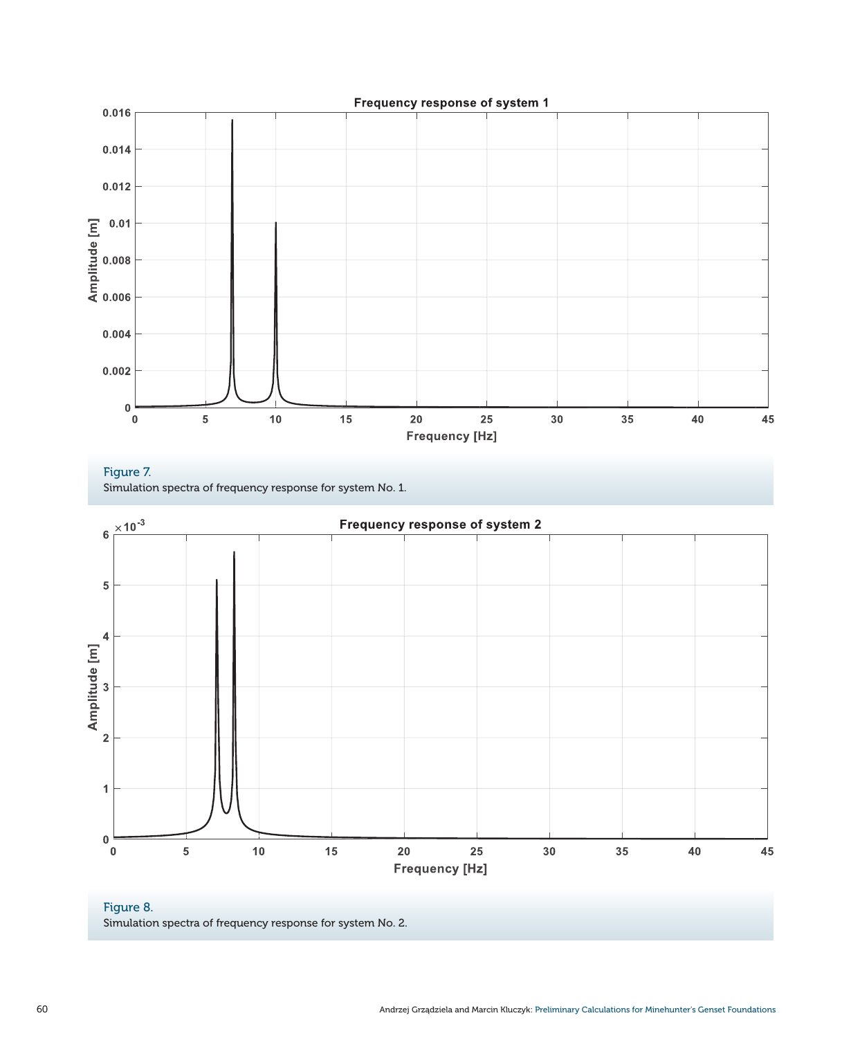

Figure 7. Simulation spectra of frequency response for system No. 1.



# Figure 8. Simulation spectra of frequency response for system No. 2.